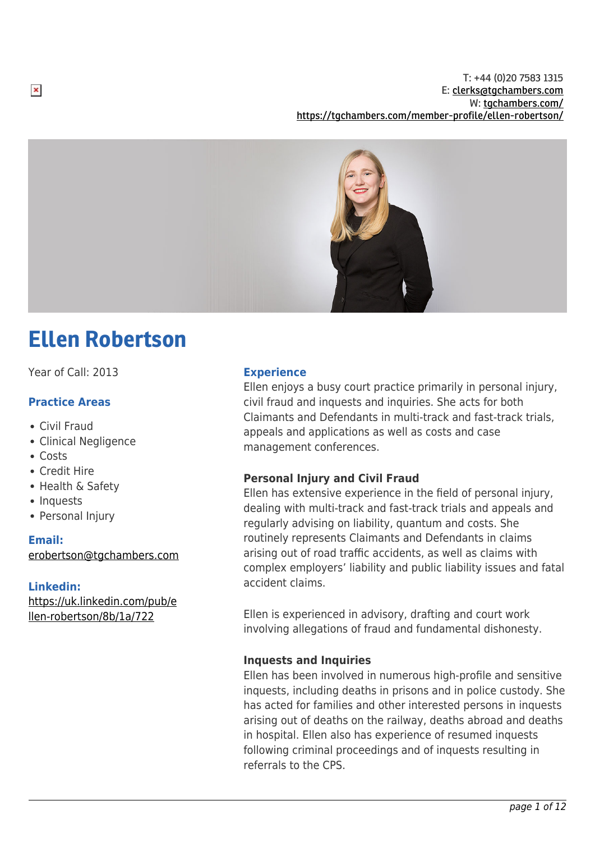

# Ellen Robertson

Year of Call: 2013

## **Practice Areas**

- Civil Fraud
- Clinical Negligence
- Costs

 $\pmb{\times}$ 

- Credit Hire
- Health & Safety
- Inquests
- Personal Injury

## **Email:**

[erobertson@tgchambers.com](mailto:erobertson@tgchambers.com)

## **Linkedin:**

[https://uk.linkedin.com/pub/e](https://uk.linkedin.com/pub/ellen-robertson/8b/1a/722) [llen-robertson/8b/1a/722](https://uk.linkedin.com/pub/ellen-robertson/8b/1a/722)

## **Experience**

Ellen enjoys a busy court practice primarily in personal injury, civil fraud and inquests and inquiries. She acts for both Claimants and Defendants in multi-track and fast-track trials, appeals and applications as well as costs and case management conferences.

## **Personal Injury and Civil Fraud**

Ellen has extensive experience in the field of personal injury, dealing with multi-track and fast-track trials and appeals and regularly advising on liability, quantum and costs. She routinely represents Claimants and Defendants in claims arising out of road traffic accidents, as well as claims with complex employers' liability and public liability issues and fatal accident claims.

Ellen is experienced in advisory, drafting and court work involving allegations of fraud and fundamental dishonesty.

## **Inquests and Inquiries**

Ellen has been involved in numerous high-profile and sensitive inquests, including deaths in prisons and in police custody. She has acted for families and other interested persons in inquests arising out of deaths on the railway, deaths abroad and deaths in hospital. Ellen also has experience of resumed inquests following criminal proceedings and of inquests resulting in referrals to the CPS.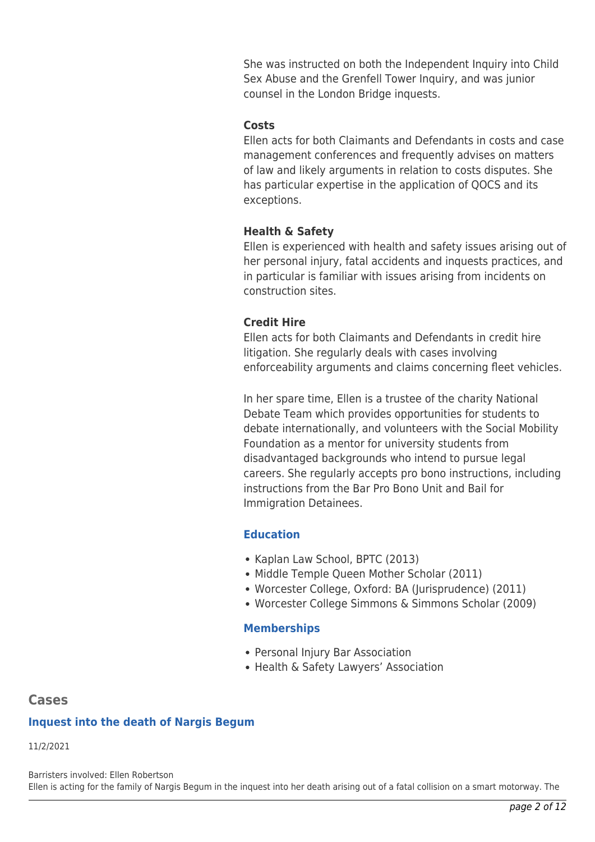She was instructed on both the Independent Inquiry into Child Sex Abuse and the Grenfell Tower Inquiry, and was junior counsel in the London Bridge inquests.

## **Costs**

Ellen acts for both Claimants and Defendants in costs and case management conferences and frequently advises on matters of law and likely arguments in relation to costs disputes. She has particular expertise in the application of QOCS and its exceptions.

## **Health & Safety**

Ellen is experienced with health and safety issues arising out of her personal injury, fatal accidents and inquests practices, and in particular is familiar with issues arising from incidents on construction sites.

## **Credit Hire**

Ellen acts for both Claimants and Defendants in credit hire litigation. She regularly deals with cases involving enforceability arguments and claims concerning fleet vehicles.

In her spare time, Ellen is a trustee of the charity National Debate Team which provides opportunities for students to debate internationally, and volunteers with the Social Mobility Foundation as a mentor for university students from disadvantaged backgrounds who intend to pursue legal careers. She regularly accepts pro bono instructions, including instructions from the Bar Pro Bono Unit and Bail for Immigration Detainees.

## **Education**

- Kaplan Law School, BPTC (2013)
- Middle Temple Queen Mother Scholar (2011)
- Worcester College, Oxford: BA (Jurisprudence) (2011)
- Worcester College Simmons & Simmons Scholar (2009)

## **Memberships**

- Personal Injury Bar Association
- Health & Safety Lawyers' Association

## **Cases**

## **Inquest into the death of Nargis Begum**

11/2/2021

Barristers involved: Ellen Robertson Ellen is acting for the family of Nargis Begum in the inquest into her death arising out of a fatal collision on a smart motorway. The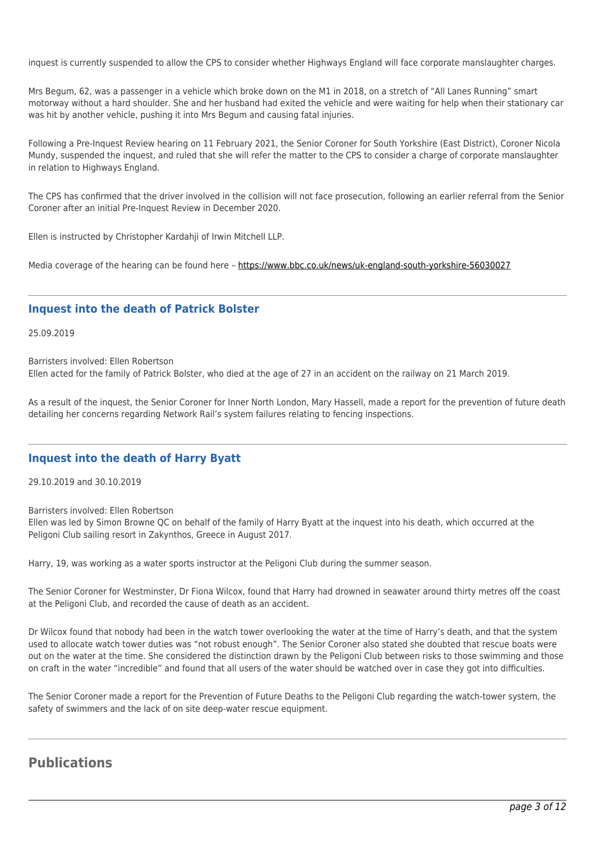inquest is currently suspended to allow the CPS to consider whether Highways England will face corporate manslaughter charges.

Mrs Begum, 62, was a passenger in a vehicle which broke down on the M1 in 2018, on a stretch of "All Lanes Running" smart motorway without a hard shoulder. She and her husband had exited the vehicle and were waiting for help when their stationary car was hit by another vehicle, pushing it into Mrs Begum and causing fatal injuries.

Following a Pre-Inquest Review hearing on 11 February 2021, the Senior Coroner for South Yorkshire (East District), Coroner Nicola Mundy, suspended the inquest, and ruled that she will refer the matter to the CPS to consider a charge of corporate manslaughter in relation to Highways England.

The CPS has confirmed that the driver involved in the collision will not face prosecution, following an earlier referral from the Senior Coroner after an initial Pre-Inquest Review in December 2020.

Ellen is instructed by Christopher Kardahji of Irwin Mitchell LLP.

Media coverage of the hearing can be found here -<https://www.bbc.co.uk/news/uk-england-south-yorkshire-56030027>

### **Inquest into the death of Patrick Bolster**

25.09.2019

Barristers involved: Ellen Robertson

Ellen acted for the family of Patrick Bolster, who died at the age of 27 in an accident on the railway on 21 March 2019.

As a result of the inquest, the Senior Coroner for Inner North London, Mary Hassell, made a report for the prevention of future death detailing her concerns regarding Network Rail's system failures relating to fencing inspections.

#### **Inquest into the death of Harry Byatt**

29.10.2019 and 30.10.2019

Barristers involved: Ellen Robertson Ellen was led by Simon Browne QC on behalf of the family of Harry Byatt at the inquest into his death, which occurred at the Peligoni Club sailing resort in Zakynthos, Greece in August 2017.

Harry, 19, was working as a water sports instructor at the Peligoni Club during the summer season.

The Senior Coroner for Westminster, Dr Fiona Wilcox, found that Harry had drowned in seawater around thirty metres off the coast at the Peligoni Club, and recorded the cause of death as an accident.

Dr Wilcox found that nobody had been in the watch tower overlooking the water at the time of Harry's death, and that the system used to allocate watch tower duties was "not robust enough". The Senior Coroner also stated she doubted that rescue boats were out on the water at the time. She considered the distinction drawn by the Peligoni Club between risks to those swimming and those on craft in the water "incredible" and found that all users of the water should be watched over in case they got into difficulties.

The Senior Coroner made a report for the Prevention of Future Deaths to the Peligoni Club regarding the watch-tower system, the safety of swimmers and the lack of on site deep-water rescue equipment.

## **Publications**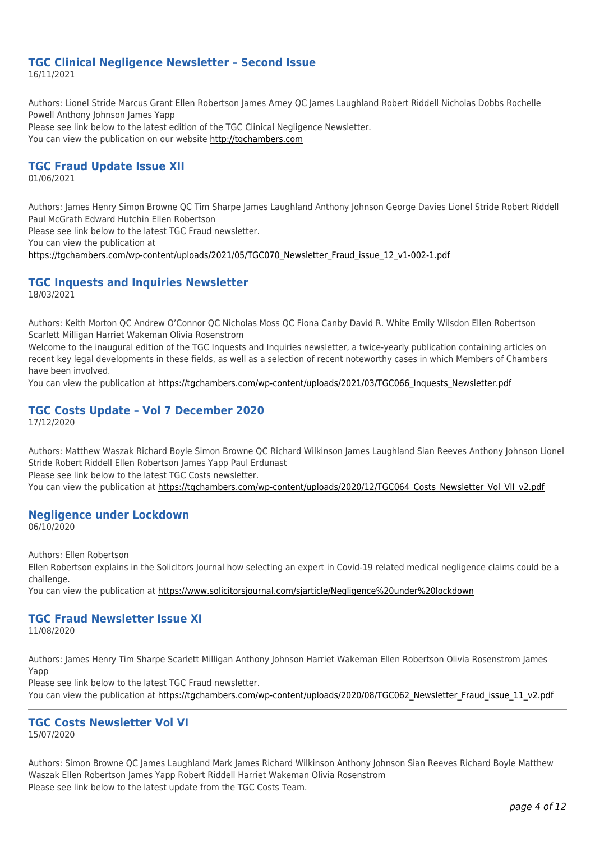#### **TGC Clinical Negligence Newsletter – Second Issue** 16/11/2021

Authors: Lionel Stride Marcus Grant Ellen Robertson James Arney QC James Laughland Robert Riddell Nicholas Dobbs Rochelle Powell Anthony Johnson James Yapp Please see link below to the latest edition of the TGC Clinical Negligence Newsletter. You can view the publication on our website [http://tgchambers.com](https://tgchambers.com/wp-content/uploads/2021/11/TGC073_Clin_Neg_Newsletter_Issue2_v3.pdf)

### **TGC Fraud Update Issue XII**

01/06/2021

Authors: James Henry Simon Browne QC Tim Sharpe James Laughland Anthony Johnson George Davies Lionel Stride Robert Riddell Paul McGrath Edward Hutchin Ellen Robertson

Please see link below to the latest TGC Fraud newsletter.

You can view the publication at

[https://tgchambers.com/wp-content/uploads/2021/05/TGC070\\_Newsletter\\_Fraud\\_issue\\_12\\_v1-002-1.pdf](https://tgchambers.com/wp-content/uploads/2021/05/TGC070_Newsletter_Fraud_issue_12_v1-002-1.pdf)

## **TGC Inquests and Inquiries Newsletter**

18/03/2021

Authors: Keith Morton QC Andrew O'Connor QC Nicholas Moss QC Fiona Canby David R. White Emily Wilsdon Ellen Robertson Scarlett Milligan Harriet Wakeman Olivia Rosenstrom

Welcome to the inaugural edition of the TGC Inquests and Inquiries newsletter, a twice-yearly publication containing articles on recent key legal developments in these fields, as well as a selection of recent noteworthy cases in which Members of Chambers have been involved.

You can view the publication at [https://tgchambers.com/wp-content/uploads/2021/03/TGC066\\_Inquests\\_Newsletter.pdf](https://tgchambers.com/wp-content/uploads/2021/03/TGC066_Inquests_Newsletter.pdf)

#### **TGC Costs Update – Vol 7 December 2020** 17/12/2020

Authors: Matthew Waszak Richard Boyle Simon Browne QC Richard Wilkinson James Laughland Sian Reeves Anthony Johnson Lionel Stride Robert Riddell Ellen Robertson James Yapp Paul Erdunast

Please see link below to the latest TGC Costs newsletter.

You can view the publication at [https://tgchambers.com/wp-content/uploads/2020/12/TGC064\\_Costs\\_Newsletter\\_Vol\\_VII\\_v2.pdf](https://tgchambers.com/wp-content/uploads/2020/12/TGC064_Costs_Newsletter_Vol_VII_v2.pdf)

#### **Negligence under Lockdown** 06/10/2020

Authors: Ellen Robertson

Ellen Robertson explains in the Solicitors Journal how selecting an expert in Covid-19 related medical negligence claims could be a challenge.

You can view the publication at<https://www.solicitorsjournal.com/sjarticle/Negligence%20under%20lockdown>

#### **TGC Fraud Newsletter Issue XI** 11/08/2020

Authors: James Henry Tim Sharpe Scarlett Milligan Anthony Johnson Harriet Wakeman Ellen Robertson Olivia Rosenstrom James Yapp

Please see link below to the latest TGC Fraud newsletter. You can view the publication at [https://tgchambers.com/wp-content/uploads/2020/08/TGC062\\_Newsletter\\_Fraud\\_issue\\_11\\_v2.pdf](https://tgchambers.com/wp-content/uploads/2020/08/TGC062_Newsletter_Fraud_issue_11_v2.pdf)

# **TGC Costs Newsletter Vol VI**

15/07/2020

Authors: Simon Browne QC James Laughland Mark James Richard Wilkinson Anthony Johnson Sian Reeves Richard Boyle Matthew Waszak Ellen Robertson James Yapp Robert Riddell Harriet Wakeman Olivia Rosenstrom Please see link below to the latest update from the TGC Costs Team.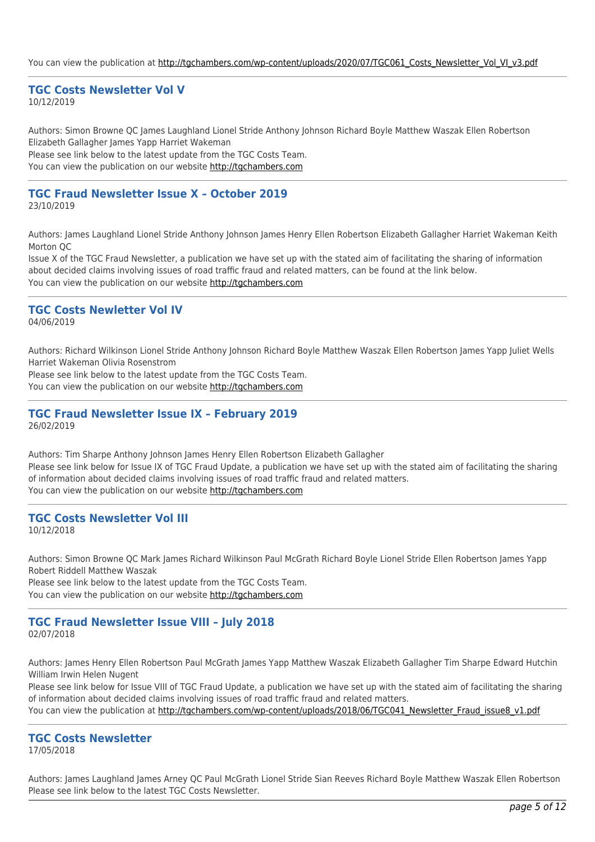You can view the publication at [http://tgchambers.com/wp-content/uploads/2020/07/TGC061\\_Costs\\_Newsletter\\_Vol\\_VI\\_v3.pdf](http://tgchambers.com/wp-content/uploads/2020/07/TGC061_Costs_Newsletter_Vol_VI_v3.pdf)

#### **TGC Costs Newsletter Vol V**

10/12/2019

Authors: Simon Browne QC James Laughland Lionel Stride Anthony Johnson Richard Boyle Matthew Waszak Ellen Robertson Elizabeth Gallagher James Yapp Harriet Wakeman Please see link below to the latest update from the TGC Costs Team. You can view the publication on our website [http://tgchambers.com](https://tgchambers.com/wp-content/uploads/2019/12/TGC055_Costs_Newsletter_Vol_V_v3.pdf)

#### **TGC Fraud Newsletter Issue X – October 2019** 23/10/2019

Authors: James Laughland Lionel Stride Anthony Johnson James Henry Ellen Robertson Elizabeth Gallagher Harriet Wakeman Keith Morton QC

Issue X of the TGC Fraud Newsletter, a publication we have set up with the stated aim of facilitating the sharing of information about decided claims involving issues of road traffic fraud and related matters, can be found at the link below. You can view the publication on our website [http://tgchambers.com](https://tgchambers.com/wp-content/uploads/2019/10/TGC056_Newsletter_Fraud_issue10_v3b.pdf)

## **TGC Costs Newletter Vol IV**

04/06/2019

Authors: Richard Wilkinson Lionel Stride Anthony Johnson Richard Boyle Matthew Waszak Ellen Robertson James Yapp Juliet Wells Harriet Wakeman Olivia Rosenstrom

Please see link below to the latest update from the TGC Costs Team.

You can view the publication on our website [http://tgchambers.com](https://tgchambers.com/wp-content/uploads/2019/06/TGC047_Costs_Newsletter_Vol_IV_v5b.pdf)

#### **TGC Fraud Newsletter Issue IX – February 2019** 26/02/2019

Authors: Tim Sharpe Anthony Johnson James Henry Ellen Robertson Elizabeth Gallagher Please see link below for Issue IX of TGC Fraud Update, a publication we have set up with the stated aim of facilitating the sharing of information about decided claims involving issues of road traffic fraud and related matters. You can view the publication on our website [http://tgchambers.com](https://tgchambers.com/wp-content/uploads/2019/02/Newsletter_Fraud_issue9_v3.pdf)

#### **TGC Costs Newsletter Vol III** 10/12/2018

Authors: Simon Browne QC Mark James Richard Wilkinson Paul McGrath Richard Boyle Lionel Stride Ellen Robertson James Yapp Robert Riddell Matthew Waszak

Please see link below to the latest update from the TGC Costs Team. You can view the publication on our website [http://tgchambers.com](https://tgchambers.com/wp-content/uploads/2018/12/TGC043_Costs_Newsletter_Vol_III_v4.1.pdf)

#### **TGC Fraud Newsletter Issue VIII – July 2018** 02/07/2018

Authors: James Henry Ellen Robertson Paul McGrath James Yapp Matthew Waszak Elizabeth Gallagher Tim Sharpe Edward Hutchin William Irwin Helen Nugent

Please see link below for Issue VIII of TGC Fraud Update, a publication we have set up with the stated aim of facilitating the sharing of information about decided claims involving issues of road traffic fraud and related matters. You can view the publication at [http://tgchambers.com/wp-content/uploads/2018/06/TGC041\\_Newsletter\\_Fraud\\_issue8\\_v1.pdf](http://tgchambers.com/wp-content/uploads/2018/06/TGC041_Newsletter_Fraud_issue8_v1.pdf)

## **TGC Costs Newsletter**

17/05/2018

Authors: James Laughland James Arney QC Paul McGrath Lionel Stride Sian Reeves Richard Boyle Matthew Waszak Ellen Robertson Please see link below to the latest TGC Costs Newsletter.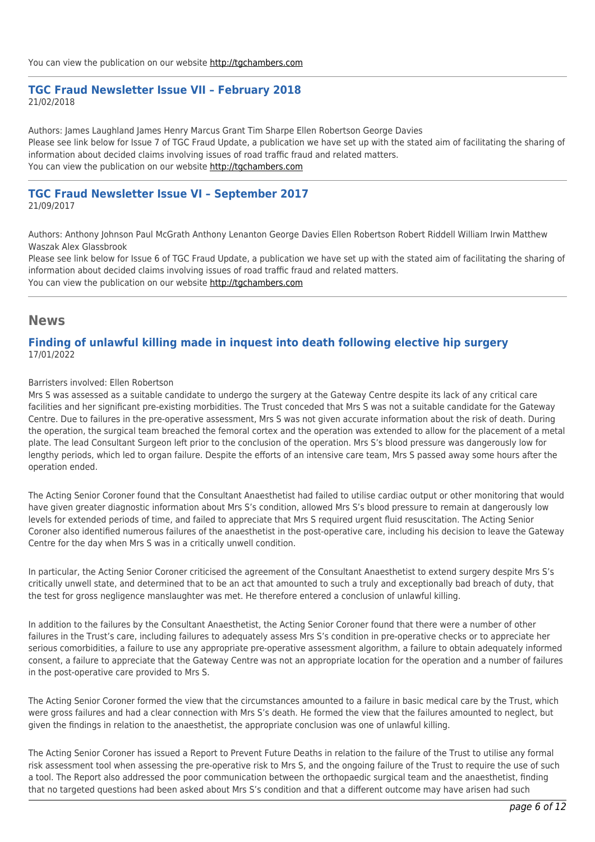## **TGC Fraud Newsletter Issue VII – February 2018**

21/02/2018

Authors: James Laughland James Henry Marcus Grant Tim Sharpe Ellen Robertson George Davies Please see link below for Issue 7 of TGC Fraud Update, a publication we have set up with the stated aim of facilitating the sharing of information about decided claims involving issues of road traffic fraud and related matters. You can view the publication on our website [http://tgchambers.com](https://tgchambers.com/wp-content/uploads/2018/02/TGC032_Newsletter_Fraud_issue7_v2.pdf)

#### **TGC Fraud Newsletter Issue VI – September 2017** 21/09/2017

Authors: Anthony Johnson Paul McGrath Anthony Lenanton George Davies Ellen Robertson Robert Riddell William Irwin Matthew Waszak Alex Glassbrook

Please see link below for Issue 6 of TGC Fraud Update, a publication we have set up with the stated aim of facilitating the sharing of information about decided claims involving issues of road traffic fraud and related matters. You can view the publication on our website [http://tgchambers.com](https://tgchambers.com/wp-content/uploads/2017/09/TGC-Fraud-Update-Issue-VI-September-2017..pdf)

## **News**

## **Finding of unlawful killing made in inquest into death following elective hip surgery** 17/01/2022

Barristers involved: Ellen Robertson

Mrs S was assessed as a suitable candidate to undergo the surgery at the Gateway Centre despite its lack of any critical care facilities and her significant pre-existing morbidities. The Trust conceded that Mrs S was not a suitable candidate for the Gateway Centre. Due to failures in the pre-operative assessment, Mrs S was not given accurate information about the risk of death. During the operation, the surgical team breached the femoral cortex and the operation was extended to allow for the placement of a metal plate. The lead Consultant Surgeon left prior to the conclusion of the operation. Mrs S's blood pressure was dangerously low for lengthy periods, which led to organ failure. Despite the efforts of an intensive care team, Mrs S passed away some hours after the operation ended.

The Acting Senior Coroner found that the Consultant Anaesthetist had failed to utilise cardiac output or other monitoring that would have given greater diagnostic information about Mrs S's condition, allowed Mrs S's blood pressure to remain at dangerously low levels for extended periods of time, and failed to appreciate that Mrs S required urgent fluid resuscitation. The Acting Senior Coroner also identified numerous failures of the anaesthetist in the post-operative care, including his decision to leave the Gateway Centre for the day when Mrs S was in a critically unwell condition.

In particular, the Acting Senior Coroner criticised the agreement of the Consultant Anaesthetist to extend surgery despite Mrs S's critically unwell state, and determined that to be an act that amounted to such a truly and exceptionally bad breach of duty, that the test for gross negligence manslaughter was met. He therefore entered a conclusion of unlawful killing.

In addition to the failures by the Consultant Anaesthetist, the Acting Senior Coroner found that there were a number of other failures in the Trust's care, including failures to adequately assess Mrs S's condition in pre-operative checks or to appreciate her serious comorbidities, a failure to use any appropriate pre-operative assessment algorithm, a failure to obtain adequately informed consent, a failure to appreciate that the Gateway Centre was not an appropriate location for the operation and a number of failures in the post-operative care provided to Mrs S.

The Acting Senior Coroner formed the view that the circumstances amounted to a failure in basic medical care by the Trust, which were gross failures and had a clear connection with Mrs S's death. He formed the view that the failures amounted to neglect, but given the findings in relation to the anaesthetist, the appropriate conclusion was one of unlawful killing.

The Acting Senior Coroner has issued a Report to Prevent Future Deaths in relation to the failure of the Trust to utilise any formal risk assessment tool when assessing the pre-operative risk to Mrs S, and the ongoing failure of the Trust to require the use of such a tool. The Report also addressed the poor communication between the orthopaedic surgical team and the anaesthetist, finding that no targeted questions had been asked about Mrs S's condition and that a different outcome may have arisen had such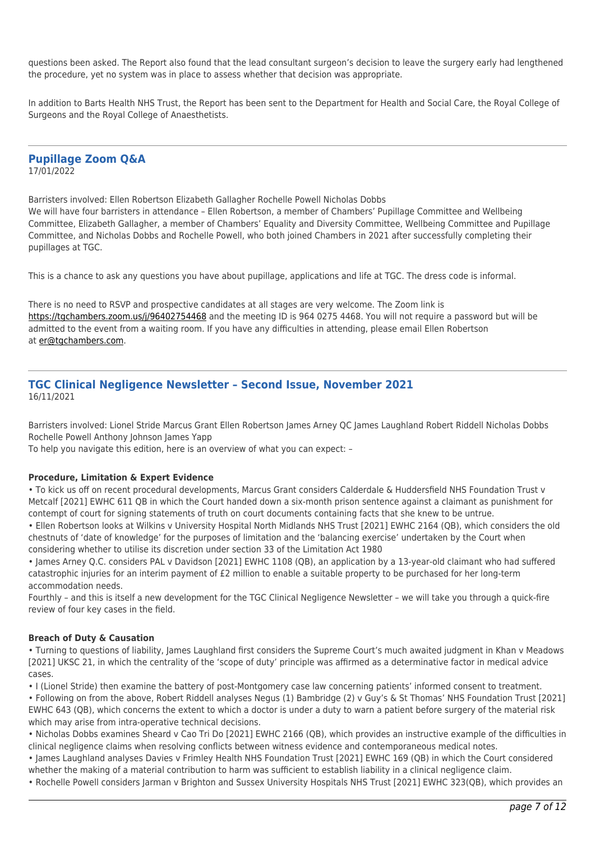questions been asked. The Report also found that the lead consultant surgeon's decision to leave the surgery early had lengthened the procedure, yet no system was in place to assess whether that decision was appropriate.

In addition to Barts Health NHS Trust, the Report has been sent to the Department for Health and Social Care, the Royal College of Surgeons and the Royal College of Anaesthetists.

#### **Pupillage Zoom Q&A** 17/01/2022

Barristers involved: Ellen Robertson Elizabeth Gallagher Rochelle Powell Nicholas Dobbs We will have four barristers in attendance – Ellen Robertson, a member of Chambers' Pupillage Committee and Wellbeing Committee, Elizabeth Gallagher, a member of Chambers' Equality and Diversity Committee, Wellbeing Committee and Pupillage Committee, and Nicholas Dobbs and Rochelle Powell, who both joined Chambers in 2021 after successfully completing their pupillages at TGC.

This is a chance to ask any questions you have about pupillage, applications and life at TGC. The dress code is informal.

There is no need to RSVP and prospective candidates at all stages are very welcome. The Zoom link is <https://tgchambers.zoom.us/j/96402754468>and the meeting ID is 964 0275 4468. You will not require a password but will be admitted to the event from a waiting room. If you have any difficulties in attending, please email Ellen Robertson at [er@tgchambers.com.](mailto:er@tgchambers.com)

#### **TGC Clinical Negligence Newsletter – Second Issue, November 2021** 16/11/2021

Barristers involved: Lionel Stride Marcus Grant Ellen Robertson James Arney QC James Laughland Robert Riddell Nicholas Dobbs Rochelle Powell Anthony Johnson James Yapp

To help you navigate this edition, here is an overview of what you can expect: –

#### **Procedure, Limitation & Expert Evidence**

• To kick us off on recent procedural developments, Marcus Grant considers Calderdale & Huddersfield NHS Foundation Trust v Metcalf [2021] EWHC 611 QB in which the Court handed down a six-month prison sentence against a claimant as punishment for contempt of court for signing statements of truth on court documents containing facts that she knew to be untrue.

• Ellen Robertson looks at Wilkins v University Hospital North Midlands NHS Trust [2021] EWHC 2164 (QB), which considers the old chestnuts of 'date of knowledge' for the purposes of limitation and the 'balancing exercise' undertaken by the Court when considering whether to utilise its discretion under section 33 of the Limitation Act 1980

• James Arney Q.C. considers PAL v Davidson [2021] EWHC 1108 (QB), an application by a 13-year-old claimant who had suffered catastrophic injuries for an interim payment of £2 million to enable a suitable property to be purchased for her long-term accommodation needs.

Fourthly – and this is itself a new development for the TGC Clinical Negligence Newsletter – we will take you through a quick-fire review of four key cases in the field.

#### **Breach of Duty & Causation**

• Turning to questions of liability, James Laughland first considers the Supreme Court's much awaited judgment in Khan v Meadows [2021] UKSC 21, in which the centrality of the 'scope of duty' principle was affirmed as a determinative factor in medical advice cases.

• I (Lionel Stride) then examine the battery of post-Montgomery case law concerning patients' informed consent to treatment.

• Following on from the above, Robert Riddell analyses Negus (1) Bambridge (2) v Guy's & St Thomas' NHS Foundation Trust [2021] EWHC 643 (QB), which concerns the extent to which a doctor is under a duty to warn a patient before surgery of the material risk which may arise from intra-operative technical decisions.

• Nicholas Dobbs examines Sheard v Cao Tri Do [2021] EWHC 2166 (QB), which provides an instructive example of the difficulties in clinical negligence claims when resolving conflicts between witness evidence and contemporaneous medical notes.

• James Laughland analyses Davies v Frimley Health NHS Foundation Trust [2021] EWHC 169 (QB) in which the Court considered whether the making of a material contribution to harm was sufficient to establish liability in a clinical negligence claim.

• Rochelle Powell considers Jarman v Brighton and Sussex University Hospitals NHS Trust [2021] EWHC 323(QB), which provides an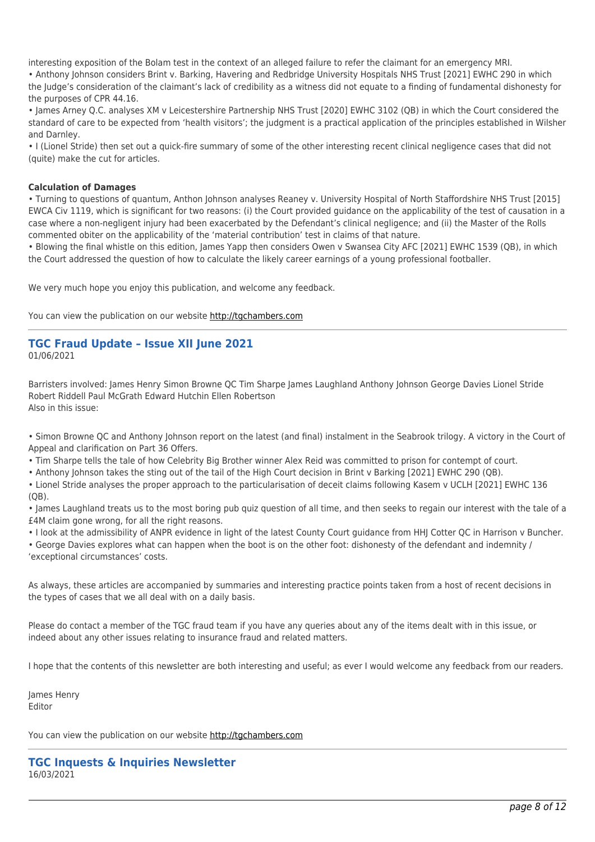interesting exposition of the Bolam test in the context of an alleged failure to refer the claimant for an emergency MRI.

• Anthony Johnson considers Brint v. Barking, Havering and Redbridge University Hospitals NHS Trust [2021] EWHC 290 in which the Judge's consideration of the claimant's lack of credibility as a witness did not equate to a finding of fundamental dishonesty for the purposes of CPR 44.16.

• James Arney Q.C. analyses XM v Leicestershire Partnership NHS Trust [2020] EWHC 3102 (QB) in which the Court considered the standard of care to be expected from 'health visitors'; the judgment is a practical application of the principles established in Wilsher and Darnley.

• I (Lionel Stride) then set out a quick-fire summary of some of the other interesting recent clinical negligence cases that did not (quite) make the cut for articles.

#### **Calculation of Damages**

• Turning to questions of quantum, Anthon Johnson analyses Reaney v. University Hospital of North Staffordshire NHS Trust [2015] EWCA Civ 1119, which is significant for two reasons: (i) the Court provided guidance on the applicability of the test of causation in a case where a non-negligent injury had been exacerbated by the Defendant's clinical negligence; and (ii) the Master of the Rolls commented obiter on the applicability of the 'material contribution' test in claims of that nature.

• Blowing the final whistle on this edition, James Yapp then considers Owen v Swansea City AFC [2021] EWHC 1539 (QB), in which the Court addressed the question of how to calculate the likely career earnings of a young professional footballer.

We very much hope you enjoy this publication, and welcome any feedback.

You can view the publication on our website [http://tgchambers.com](https://tgchambers.com/wp-content/uploads/2021/11/TGC073_Clin_Neg_Newsletter_Issue2_v3.pdf)

#### **TGC Fraud Update – Issue XII June 2021** 01/06/2021

Barristers involved: James Henry Simon Browne QC Tim Sharpe James Laughland Anthony Johnson George Davies Lionel Stride Robert Riddell Paul McGrath Edward Hutchin Ellen Robertson Also in this issue:

• Simon Browne QC and Anthony Johnson report on the latest (and final) instalment in the Seabrook trilogy. A victory in the Court of Appeal and clarification on Part 36 Offers.

• Tim Sharpe tells the tale of how Celebrity Big Brother winner Alex Reid was committed to prison for contempt of court.

• Anthony Johnson takes the sting out of the tail of the High Court decision in Brint v Barking [2021] EWHC 290 (QB).

• Lionel Stride analyses the proper approach to the particularisation of deceit claims following Kasem v UCLH [2021] EWHC 136 (QB).

• James Laughland treats us to the most boring pub quiz question of all time, and then seeks to regain our interest with the tale of a £4M claim gone wrong, for all the right reasons.

• I look at the admissibility of ANPR evidence in light of the latest County Court guidance from HHJ Cotter QC in Harrison v Buncher.

• George Davies explores what can happen when the boot is on the other foot: dishonesty of the defendant and indemnity / 'exceptional circumstances' costs.

As always, these articles are accompanied by summaries and interesting practice points taken from a host of recent decisions in the types of cases that we all deal with on a daily basis.

Please do contact a member of the TGC fraud team if you have any queries about any of the items dealt with in this issue, or indeed about any other issues relating to insurance fraud and related matters.

I hope that the contents of this newsletter are both interesting and useful; as ever I would welcome any feedback from our readers.

James Henry Editor

You can view the publication on our website [http://tgchambers.com](https://tgchambers.com/wp-content/uploads/2021/05/TGC070_Newsletter_Fraud_issue_12_v1-002-1.pdf)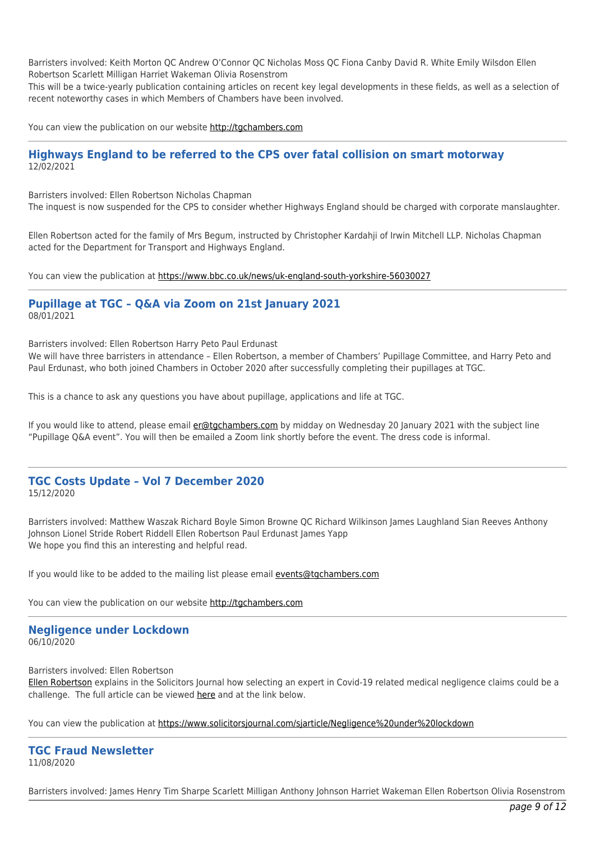Barristers involved: Keith Morton QC Andrew O'Connor QC Nicholas Moss QC Fiona Canby David R. White Emily Wilsdon Ellen Robertson Scarlett Milligan Harriet Wakeman Olivia Rosenstrom

This will be a twice-yearly publication containing articles on recent key legal developments in these fields, as well as a selection of recent noteworthy cases in which Members of Chambers have been involved.

You can view the publication on our website [http://tgchambers.com](https://tgchambers.com/wp-content/uploads/2021/03/TGC066_Inquests_Newsletter.pdf)

#### **Highways England to be referred to the CPS over fatal collision on smart motorway** 12/02/2021

Barristers involved: Ellen Robertson Nicholas Chapman

The inquest is now suspended for the CPS to consider whether Highways England should be charged with corporate manslaughter.

Ellen Robertson acted for the family of Mrs Begum, instructed by Christopher Kardahji of Irwin Mitchell LLP. Nicholas Chapman acted for the Department for Transport and Highways England.

You can view the publication at<https://www.bbc.co.uk/news/uk-england-south-yorkshire-56030027>

#### **Pupillage at TGC – Q&A via Zoom on 21st January 2021** 08/01/2021

Barristers involved: Ellen Robertson Harry Peto Paul Erdunast

We will have three barristers in attendance – Ellen Robertson, a member of Chambers' Pupillage Committee, and Harry Peto and Paul Erdunast, who both joined Chambers in October 2020 after successfully completing their pupillages at TGC.

This is a chance to ask any questions you have about pupillage, applications and life at TGC.

If you would like to attend, please email [er@tgchambers.com](mailto:er@tgchambers.com) by midday on Wednesday 20 January 2021 with the subject line "Pupillage Q&A event". You will then be emailed a Zoom link shortly before the event. The dress code is informal.

#### **TGC Costs Update – Vol 7 December 2020** 15/12/2020

Barristers involved: Matthew Waszak Richard Boyle Simon Browne QC Richard Wilkinson James Laughland Sian Reeves Anthony Johnson Lionel Stride Robert Riddell Ellen Robertson Paul Erdunast James Yapp We hope you find this an interesting and helpful read.

If you would like to be added to the mailing list please email [events@tgchambers.com](mailto:events@tgchambers.com)

You can view the publication on our website [http://tgchambers.com](https://tgchambers.com/wp-content/uploads/2020/12/TGC064_Costs_Newsletter_Vol_VII_v2.pdf)

## **Negligence under Lockdown**

06/10/2020

Barristers involved: Ellen Robertson

[Ellen Robertson](https://tgchambers.com/member-profile/ellen-robertson/) explains in the Solicitors Journal how selecting an expert in Covid-19 related medical negligence claims could be a challenge. The full article can be viewed [here](https://tgchambers.com/wp-content/uploads/2020/10/Temple-Garden-Chambers-Solicitors-Journal-11-September-2020_.docx) and at the link below.

You can view the publication at<https://www.solicitorsjournal.com/sjarticle/Negligence%20under%20lockdown>

**TGC Fraud Newsletter** 11/08/2020

Barristers involved: James Henry Tim Sharpe Scarlett Milligan Anthony Johnson Harriet Wakeman Ellen Robertson Olivia Rosenstrom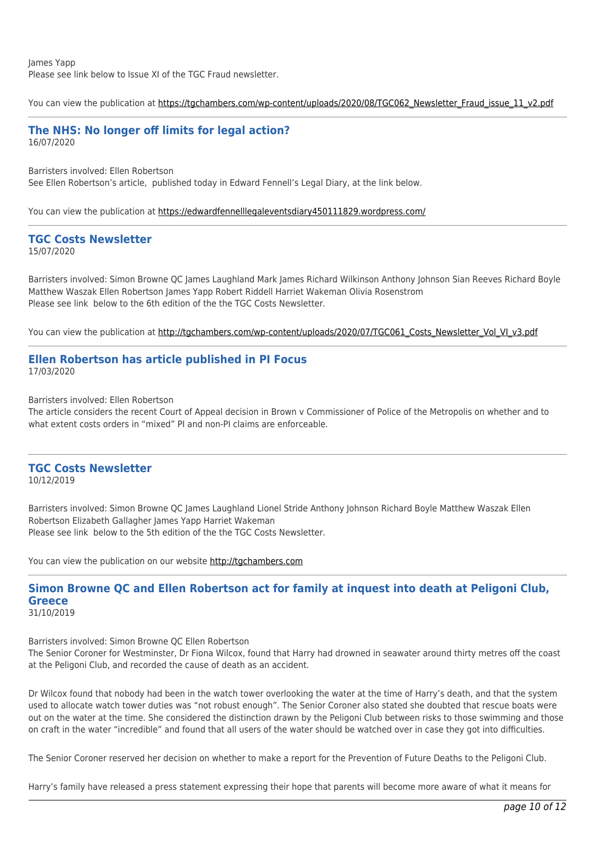James Yapp Please see link below to Issue XI of the TGC Fraud newsletter.

You can view the publication at [https://tgchambers.com/wp-content/uploads/2020/08/TGC062\\_Newsletter\\_Fraud\\_issue\\_11\\_v2.pdf](https://tgchambers.com/wp-content/uploads/2020/08/TGC062_Newsletter_Fraud_issue_11_v2.pdf)

#### **The NHS: No longer off limits for legal action?** 16/07/2020

Barristers involved: Ellen Robertson See Ellen Robertson's article, published today in Edward Fennell's Legal Diary, at the link below.

You can view the publication at<https://edwardfennelllegaleventsdiary450111829.wordpress.com/>

# **TGC Costs Newsletter**

15/07/2020

Barristers involved: Simon Browne QC James Laughland Mark James Richard Wilkinson Anthony Johnson Sian Reeves Richard Boyle Matthew Waszak Ellen Robertson James Yapp Robert Riddell Harriet Wakeman Olivia Rosenstrom Please see link below to the 6th edition of the the TGC Costs Newsletter.

You can view the publication at [http://tgchambers.com/wp-content/uploads/2020/07/TGC061\\_Costs\\_Newsletter\\_Vol\\_VI\\_v3.pdf](http://tgchambers.com/wp-content/uploads/2020/07/TGC061_Costs_Newsletter_Vol_VI_v3.pdf)

#### **Ellen Robertson has article published in PI Focus** 17/03/2020

Barristers involved: Ellen Robertson

The article considers the recent Court of Appeal decision in Brown v Commissioner of Police of the Metropolis on whether and to what extent costs orders in "mixed" PI and non-PI claims are enforceable.

## **TGC Costs Newsletter**

10/12/2019

Barristers involved: Simon Browne QC James Laughland Lionel Stride Anthony Johnson Richard Boyle Matthew Waszak Ellen Robertson Elizabeth Gallagher James Yapp Harriet Wakeman Please see link below to the 5th edition of the the TGC Costs Newsletter.

You can view the publication on our website [http://tgchambers.com](https://tgchambers.com/wp-content/uploads/2019/12/TGC055_Costs_Newsletter_Vol_V_v3.pdf)

## **Simon Browne QC and Ellen Robertson act for family at inquest into death at Peligoni Club, Greece**

31/10/2019

Barristers involved: Simon Browne QC Ellen Robertson

The Senior Coroner for Westminster, Dr Fiona Wilcox, found that Harry had drowned in seawater around thirty metres off the coast at the Peligoni Club, and recorded the cause of death as an accident.

Dr Wilcox found that nobody had been in the watch tower overlooking the water at the time of Harry's death, and that the system used to allocate watch tower duties was "not robust enough". The Senior Coroner also stated she doubted that rescue boats were out on the water at the time. She considered the distinction drawn by the Peligoni Club between risks to those swimming and those on craft in the water "incredible" and found that all users of the water should be watched over in case they got into difficulties.

The Senior Coroner reserved her decision on whether to make a report for the Prevention of Future Deaths to the Peligoni Club.

Harry's family have released a press statement expressing their hope that parents will become more aware of what it means for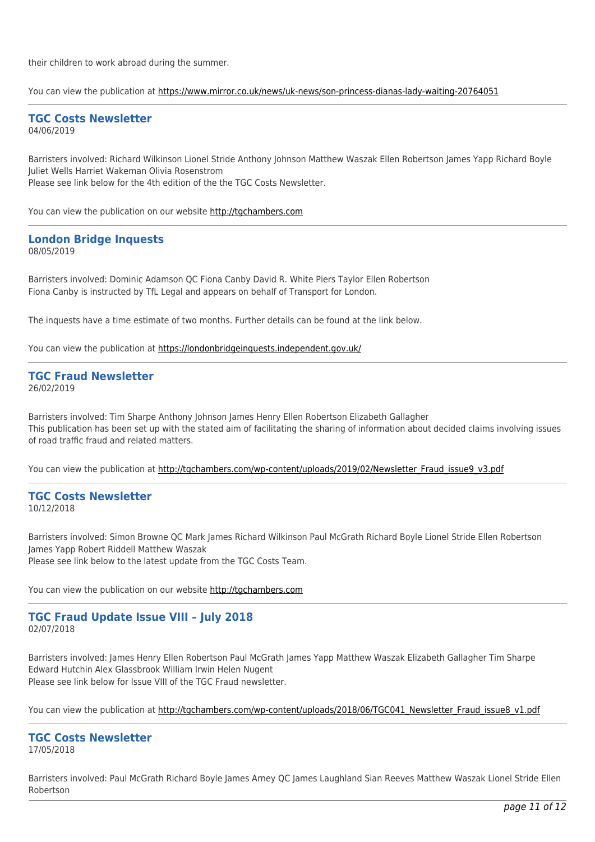their children to work abroad during the summer.

You can view the publication at<https://www.mirror.co.uk/news/uk-news/son-princess-dianas-lady-waiting-20764051>

#### **TGC Costs Newsletter** 04/06/2019

Barristers involved: Richard Wilkinson Lionel Stride Anthony Johnson Matthew Waszak Ellen Robertson James Yapp Richard Boyle Juliet Wells Harriet Wakeman Olivia Rosenstrom Please see link below for the 4th edition of the the TGC Costs Newsletter.

You can view the publication on our website [http://tgchambers.com](https://tgchambers.com/wp-content/uploads/2019/06/TGC047_Costs_Newsletter_Vol_IV_v5b.pdf)

#### **London Bridge Inquests** 08/05/2019

Barristers involved: Dominic Adamson QC Fiona Canby David R. White Piers Taylor Ellen Robertson Fiona Canby is instructed by TfL Legal and appears on behalf of Transport for London.

The inquests have a time estimate of two months. Further details can be found at the link below.

You can view the publication at<https://londonbridgeinquests.independent.gov.uk/>

#### **TGC Fraud Newsletter** 26/02/2019

Barristers involved: Tim Sharpe Anthony Johnson James Henry Ellen Robertson Elizabeth Gallagher This publication has been set up with the stated aim of facilitating the sharing of information about decided claims involving issues of road traffic fraud and related matters.

You can view the publication at [http://tgchambers.com/wp-content/uploads/2019/02/Newsletter\\_Fraud\\_issue9\\_v3.pdf](http://tgchambers.com/wp-content/uploads/2019/02/Newsletter_Fraud_issue9_v3.pdf)

# **TGC Costs Newsletter**

10/12/2018

Barristers involved: Simon Browne QC Mark James Richard Wilkinson Paul McGrath Richard Boyle Lionel Stride Ellen Robertson James Yapp Robert Riddell Matthew Waszak Please see link below to the latest update from the TGC Costs Team.

You can view the publication on our website [http://tgchambers.com](https://tgchambers.com/wp-content/uploads/2018/12/TGC043_Costs_Newsletter_Vol_III_v4.1.pdf)

#### **TGC Fraud Update Issue VIII – July 2018** 02/07/2018

Barristers involved: James Henry Ellen Robertson Paul McGrath James Yapp Matthew Waszak Elizabeth Gallagher Tim Sharpe Edward Hutchin Alex Glassbrook William Irwin Helen Nugent Please see link below for Issue VIII of the TGC Fraud newsletter.

You can view the publication at [http://tgchambers.com/wp-content/uploads/2018/06/TGC041\\_Newsletter\\_Fraud\\_issue8\\_v1.pdf](http://tgchambers.com/wp-content/uploads/2018/06/TGC041_Newsletter_Fraud_issue8_v1.pdf)

#### **TGC Costs Newsletter** 17/05/2018

Barristers involved: Paul McGrath Richard Boyle James Arney QC James Laughland Sian Reeves Matthew Waszak Lionel Stride Ellen Robertson